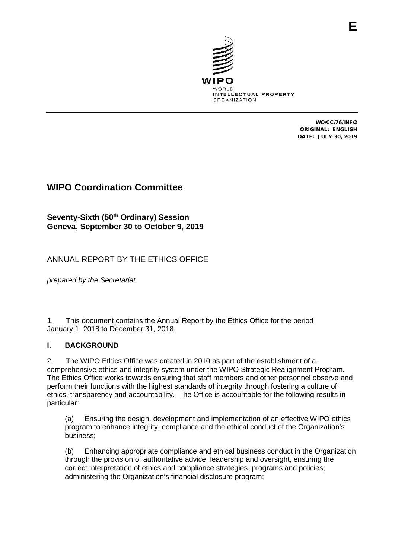

WO/CC/76/INF/2 ORIGINAL: ENGLISH DATE: JULY 30, 2019

# **WIPO Coordination Committee**

# **Seventy-Sixth (50th Ordinary) Session Geneva, September 30 to October 9, 2019**

# ANNUAL REPORT BY THE ETHICS OFFICE

*prepared by the Secretariat*

1. This document contains the Annual Report by the Ethics Office for the period January 1, 2018 to December 31, 2018.

#### **I. BACKGROUND**

2. The WIPO Ethics Office was created in 2010 as part of the establishment of a comprehensive ethics and integrity system under the WIPO Strategic Realignment Program. The Ethics Office works towards ensuring that staff members and other personnel observe and perform their functions with the highest standards of integrity through fostering a culture of ethics, transparency and accountability. The Office is accountable for the following results in particular:

(a) Ensuring the design, development and implementation of an effective WIPO ethics program to enhance integrity, compliance and the ethical conduct of the Organization's business;

(b) Enhancing appropriate compliance and ethical business conduct in the Organization through the provision of authoritative advice, leadership and oversight, ensuring the correct interpretation of ethics and compliance strategies, programs and policies; administering the Organization's financial disclosure program;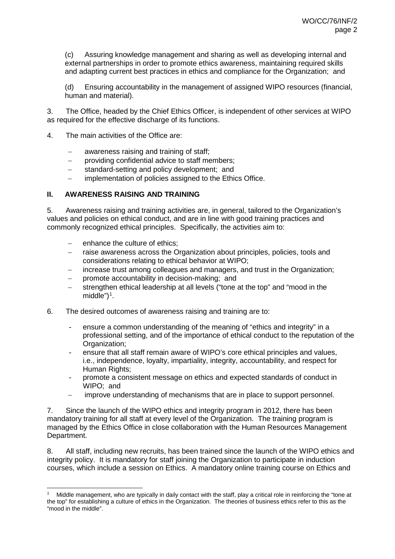(c) Assuring knowledge management and sharing as well as developing internal and external partnerships in order to promote ethics awareness, maintaining required skills and adapting current best practices in ethics and compliance for the Organization; and

(d) Ensuring accountability in the management of assigned WIPO resources (financial, human and material).

3. The Office, headed by the Chief Ethics Officer, is independent of other services at WIPO as required for the effective discharge of its functions.

- 4. The main activities of the Office are:
	- − awareness raising and training of staff;
	- − providing confidential advice to staff members;
	- standard-setting and policy development; and
	- implementation of policies assigned to the Ethics Office.

#### **II. AWARENESS RAISING AND TRAINING**

5. Awareness raising and training activities are, in general, tailored to the Organization's values and policies on ethical conduct, and are in line with good training practices and commonly recognized ethical principles. Specifically, the activities aim to:

- − enhance the culture of ethics;
- raise awareness across the Organization about principles, policies, tools and considerations relating to ethical behavior at WIPO;
- increase trust among colleagues and managers, and trust in the Organization;
- promote accountability in decision-making; and
- strengthen ethical leadership at all levels ("tone at the top" and "mood in the middle")<sup>[1](#page-1-0)</sup>.
- 6. The desired outcomes of awareness raising and training are to:
	- ensure a common understanding of the meaning of "ethics and integrity" in a professional setting, and of the importance of ethical conduct to the reputation of the Organization;
	- ensure that all staff remain aware of WIPO's core ethical principles and values, i.e., independence, loyalty, impartiality, integrity, accountability, and respect for Human Rights;
	- promote a consistent message on ethics and expected standards of conduct in WIPO; and
	- − improve understanding of mechanisms that are in place to support personnel.

7. Since the launch of the WIPO ethics and integrity program in 2012, there has been mandatory training for all staff at every level of the Organization. The training program is managed by the Ethics Office in close collaboration with the Human Resources Management Department.

8. All staff, including new recruits, has been trained since the launch of the WIPO ethics and integrity policy. It is mandatory for staff joining the Organization to participate in induction courses, which include a session on Ethics. A mandatory online training course on Ethics and

<span id="page-1-0"></span> <sup>1</sup> Middle management, who are typically in daily contact with the staff, play a critical role in reinforcing the "tone at the top" for establishing a culture of ethics in the Organization. The theories of business ethics refer to this as the "mood in the middle".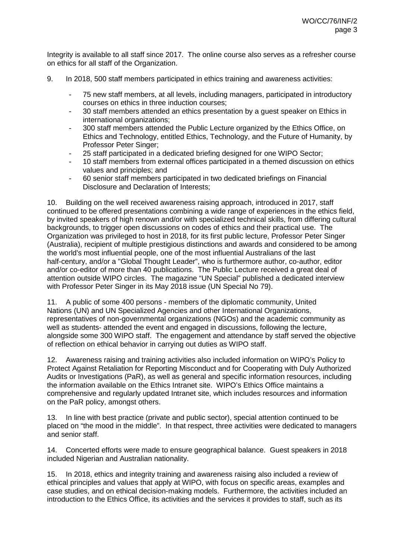Integrity is available to all staff since 2017. The online course also serves as a refresher course on ethics for all staff of the Organization.

- 9. In 2018, 500 staff members participated in ethics training and awareness activities:
	- 75 new staff members, at all levels, including managers, participated in introductory courses on ethics in three induction courses;
	- 30 staff members attended an ethics presentation by a quest speaker on Ethics in international organizations;
	- 300 staff members attended the Public Lecture organized by the Ethics Office, on Ethics and Technology, entitled Ethics, Technology, and the Future of Humanity, by Professor Peter Singer;
	- 25 staff participated in a dedicated briefing designed for one WIPO Sector;
	- 10 staff members from external offices participated in a themed discussion on ethics values and principles; and
	- 60 senior staff members participated in two dedicated briefings on Financial Disclosure and Declaration of Interests;

10. Building on the well received awareness raising approach, introduced in 2017, staff continued to be offered presentations combining a wide range of experiences in the ethics field, by invited speakers of high renown and/or with specialized technical skills, from differing cultural backgrounds, to trigger open discussions on codes of ethics and their practical use. The Organization was privileged to host in 2018, for its first public lecture, Professor Peter Singer (Australia), recipient of multiple prestigious distinctions and awards and considered to be among the world's most influential people, one of the most influential Australians of the last half-century, and/or a "Global Thought Leader", who is furthermore author, co-author, editor and/or co-editor of more than 40 publications. The Public Lecture received a great deal of attention outside WIPO circles. The magazine "UN Special" published a dedicated interview with Professor Peter Singer in its May 2018 issue (UN Special No 79).

11. A public of some 400 persons - members of the diplomatic community, United Nations (UN) and UN Specialized Agencies and other International Organizations, representatives of non-governmental organizations (NGOs) and the academic community as well as students- attended the event and engaged in discussions, following the lecture, alongside some 300 WIPO staff. The engagement and attendance by staff served the objective of reflection on ethical behavior in carrying out duties as WIPO staff.

12. Awareness raising and training activities also included information on WIPO's Policy to Protect Against Retaliation for Reporting Misconduct and for Cooperating with Duly Authorized Audits or Investigations (PaR), as well as general and specific information resources, including the information available on the Ethics Intranet site. WIPO's Ethics Office maintains a comprehensive and regularly updated Intranet site, which includes resources and information on the PaR policy, amongst others.

13. In line with best practice (private and public sector), special attention continued to be placed on "the mood in the middle". In that respect, three activities were dedicated to managers and senior staff.

14. Concerted efforts were made to ensure geographical balance. Guest speakers in 2018 included Nigerian and Australian nationality.

15. In 2018, ethics and integrity training and awareness raising also included a review of ethical principles and values that apply at WIPO, with focus on specific areas, examples and case studies, and on ethical decision-making models. Furthermore, the activities included an introduction to the Ethics Office, its activities and the services it provides to staff, such as its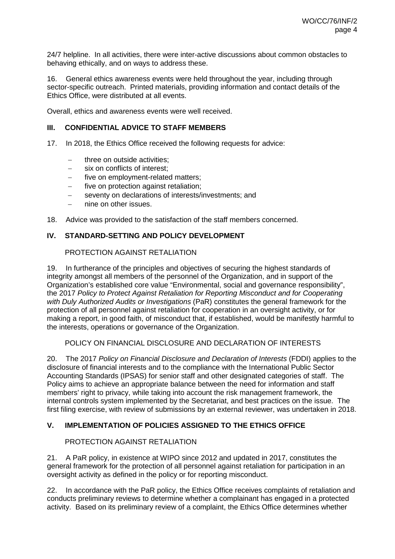24/7 helpline. In all activities, there were inter-active discussions about common obstacles to behaving ethically, and on ways to address these.

16. General ethics awareness events were held throughout the year, including through sector-specific outreach. Printed materials, providing information and contact details of the Ethics Office, were distributed at all events.

Overall, ethics and awareness events were well received.

#### **III. CONFIDENTIAL ADVICE TO STAFF MEMBERS**

- 17. In 2018, the Ethics Office received the following requests for advice:
	- three on outside activities;
	- − six on conflicts of interest;
	- five on employment-related matters;
	- five on protection against retaliation;
	- − seventy on declarations of interests/investments; and
	- − nine on other issues.
- 18. Advice was provided to the satisfaction of the staff members concerned.

#### **IV. STANDARD-SETTING AND POLICY DEVELOPMENT**

#### PROTECTION AGAINST RETALIATION

19. In furtherance of the principles and objectives of securing the highest standards of integrity amongst all members of the personnel of the Organization, and in support of the Organization's established core value "Environmental, social and governance responsibility", the 2017 *Policy to Protect Against Retaliation for Reporting Misconduct and for Cooperating with Duly Authorized Audits or Investigations* (PaR) constitutes the general framework for the protection of all personnel against retaliation for cooperation in an oversight activity, or for making a report, in good faith, of misconduct that, if established, would be manifestly harmful to the interests, operations or governance of the Organization.

POLICY ON FINANCIAL DISCLOSURE AND DECLARATION OF INTERESTS

20. The 2017 *Policy on Financial Disclosure and Declaration of Interests* (FDDI) applies to the disclosure of financial interests and to the compliance with the International Public Sector Accounting Standards (IPSAS) for senior staff and other designated categories of staff. The Policy aims to achieve an appropriate balance between the need for information and staff members' right to privacy, while taking into account the risk management framework, the internal controls system implemented by the Secretariat, and best practices on the issue. The first filing exercise, with review of submissions by an external reviewer, was undertaken in 2018.

#### **V. IMPLEMENTATION OF POLICIES ASSIGNED TO THE ETHICS OFFICE**

#### PROTECTION AGAINST RETALIATION

21. A PaR policy, in existence at WIPO since 2012 and updated in 2017, constitutes the general framework for the protection of all personnel against retaliation for participation in an oversight activity as defined in the policy or for reporting misconduct.

22. In accordance with the PaR policy, the Ethics Office receives complaints of retaliation and conducts preliminary reviews to determine whether a complainant has engaged in a protected activity. Based on its preliminary review of a complaint, the Ethics Office determines whether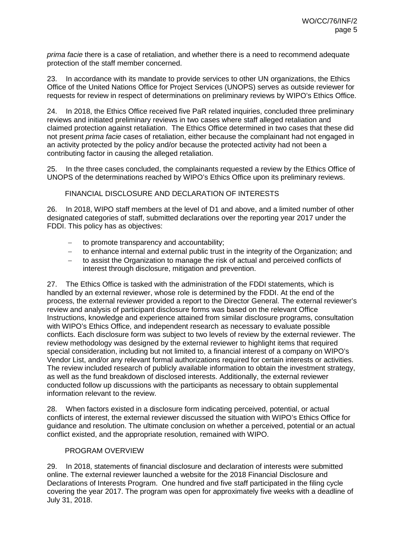*prima facie* there is a case of retaliation, and whether there is a need to recommend adequate protection of the staff member concerned.

23. In accordance with its mandate to provide services to other UN organizations, the Ethics Office of the United Nations Office for Project Services (UNOPS) serves as outside reviewer for requests for review in respect of determinations on preliminary reviews by WIPO's Ethics Office.

24. In 2018, the Ethics Office received five PaR related inquiries, concluded three preliminary reviews and initiated preliminary reviews in two cases where staff alleged retaliation and claimed protection against retaliation. The Ethics Office determined in two cases that these did not present *prima facie* cases of retaliation, either because the complainant had not engaged in an activity protected by the policy and/or because the protected activity had not been a contributing factor in causing the alleged retaliation.

25. In the three cases concluded, the complainants requested a review by the Ethics Office of UNOPS of the determinations reached by WIPO's Ethics Office upon its preliminary reviews.

### FINANCIAL DISCLOSURE AND DECLARATION OF INTERESTS

26. In 2018, WIPO staff members at the level of D1 and above, and a limited number of other designated categories of staff, submitted declarations over the reporting year 2017 under the FDDI. This policy has as objectives:

- to promote transparency and accountability;
- − to enhance internal and external public trust in the integrity of the Organization; and
- to assist the Organization to manage the risk of actual and perceived conflicts of interest through disclosure, mitigation and prevention.

27. The Ethics Office is tasked with the administration of the FDDI statements, which is handled by an external reviewer, whose role is determined by the FDDI. At the end of the process, the external reviewer provided a report to the Director General. The external reviewer's review and analysis of participant disclosure forms was based on the relevant Office Instructions, knowledge and experience attained from similar disclosure programs, consultation with WIPO's Ethics Office, and independent research as necessary to evaluate possible conflicts. Each disclosure form was subject to two levels of review by the external reviewer. The review methodology was designed by the external reviewer to highlight items that required special consideration, including but not limited to, a financial interest of a company on WIPO's Vendor List, and/or any relevant formal authorizations required for certain interests or activities. The review included research of publicly available information to obtain the investment strategy, as well as the fund breakdown of disclosed interests. Additionally, the external reviewer conducted follow up discussions with the participants as necessary to obtain supplemental information relevant to the review.

28. When factors existed in a disclosure form indicating perceived, potential, or actual conflicts of interest, the external reviewer discussed the situation with WIPO's Ethics Office for guidance and resolution. The ultimate conclusion on whether a perceived, potential or an actual conflict existed, and the appropriate resolution, remained with WIPO.

#### PROGRAM OVERVIEW

29. In 2018, statements of financial disclosure and declaration of interests were submitted online. The external reviewer launched a website for the 2018 Financial Disclosure and Declarations of Interests Program. One hundred and five staff participated in the filing cycle covering the year 2017. The program was open for approximately five weeks with a deadline of July 31, 2018.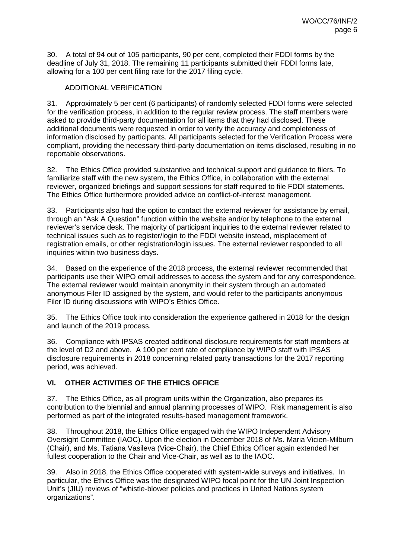30. A total of 94 out of 105 participants, 90 per cent, completed their FDDI forms by the deadline of July 31, 2018. The remaining 11 participants submitted their FDDI forms late, allowing for a 100 per cent filing rate for the 2017 filing cycle.

### ADDITIONAL VERIFICATION

31. Approximately 5 per cent (6 participants) of randomly selected FDDI forms were selected for the verification process, in addition to the regular review process. The staff members were asked to provide third-party documentation for all items that they had disclosed. These additional documents were requested in order to verify the accuracy and completeness of information disclosed by participants. All participants selected for the Verification Process were compliant, providing the necessary third-party documentation on items disclosed, resulting in no reportable observations.

32. The Ethics Office provided substantive and technical support and guidance to filers. To familiarize staff with the new system, the Ethics Office, in collaboration with the external reviewer, organized briefings and support sessions for staff required to file FDDI statements. The Ethics Office furthermore provided advice on conflict-of-interest management.

33. Participants also had the option to contact the external reviewer for assistance by email, through an "Ask A Question" function within the website and/or by telephone to the external reviewer's service desk. The majority of participant inquiries to the external reviewer related to technical issues such as to register/login to the FDDI website instead, misplacement of registration emails, or other registration/login issues. The external reviewer responded to all inquiries within two business days.

34. Based on the experience of the 2018 process, the external reviewer recommended that participants use their WIPO email addresses to access the system and for any correspondence. The external reviewer would maintain anonymity in their system through an automated anonymous Filer ID assigned by the system, and would refer to the participants anonymous Filer ID during discussions with WIPO's Ethics Office.

35. The Ethics Office took into consideration the experience gathered in 2018 for the design and launch of the 2019 process.

36. Compliance with IPSAS created additional disclosure requirements for staff members at the level of D2 and above. A 100 per cent rate of compliance by WIPO staff with IPSAS disclosure requirements in 2018 concerning related party transactions for the 2017 reporting period, was achieved.

## **VI. OTHER ACTIVITIES OF THE ETHICS OFFICE**

37. The Ethics Office, as all program units within the Organization, also prepares its contribution to the biennial and annual planning processes of WIPO. Risk management is also performed as part of the integrated results-based management framework.

38. Throughout 2018, the Ethics Office engaged with the WIPO Independent Advisory Oversight Committee (IAOC). Upon the election in December 2018 of Ms. Maria Vicien-Milburn (Chair), and Ms. Tatiana Vasileva (Vice-Chair), the Chief Ethics Officer again extended her fullest cooperation to the Chair and Vice-Chair, as well as to the IAOC.

39. Also in 2018, the Ethics Office cooperated with system-wide surveys and initiatives. In particular, the Ethics Office was the designated WIPO focal point for the UN Joint Inspection Unit's (JIU) reviews of "whistle-blower policies and practices in United Nations system organizations".